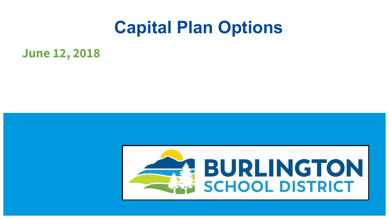# **Capital Plan Options**

# **June 12, 2018**

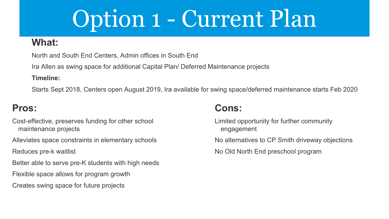# Option 1 - Current Plan

#### **What:**

North and South End Centers, Admin offices in South End

Ira Allen as swing space for additional Capital Plan/ Deferred Maintenance projects

**Timeline:**

Starts Sept 2018, Centers open August 2019, Ira available for swing space/deferred maintenance starts Feb 2020

### **Pros:**

Cost-effective, preserves funding for other school maintenance projects

Alleviates space constraints in elementary schools

Reduces pre-k waitlist

Better able to serve pre-K students with high needs

Flexible space allows for program growth

Creates swing space for future projects

### **Cons:**

Limited opportunity for further community engagement No alternatives to CP Smith driveway objections No Old North End preschool program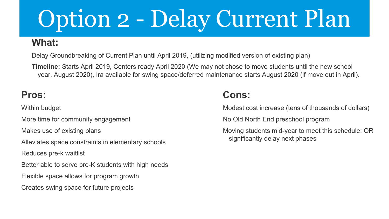# Option 2 - Delay Current Plan

### **What:**

Delay Groundbreaking of Current Plan until April 2019, (utilizing modified version of existing plan)

**Timeline:** Starts April 2019, Centers ready April 2020 (We may not chose to move students until the new school year, August 2020), Ira available for swing space/deferred maintenance starts August 2020 (if move out in April).

### **Pros:**

Within budget

More time for community engagement

Makes use of existing plans

Alleviates space constraints in elementary schools

Reduces pre-k waitlist

Better able to serve pre-K students with high needs

Flexible space allows for program growth

Creates swing space for future projects

# **Cons:**

Modest cost increase (tens of thousands of dollars)

No Old North End preschool program

Moving students mid-year to meet this schedule: OR significantly delay next phases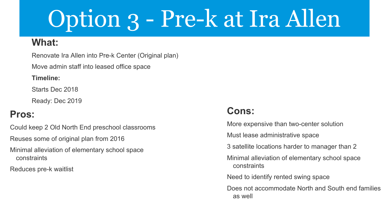# Option 3 - Pre-k at Ira Allen

#### **What:**

Renovate Ira Allen into Pre-k Center (Original plan)

Move admin staff into leased office space

**Timeline:**

Starts Dec 2018

Ready: Dec 2019

## **Pros:**

Could keep 2 Old North End preschool classrooms

Reuses some of original plan from 2016

Minimal alleviation of elementary school space constraints

Reduces pre-k waitlist

## **Cons:**

More expensive than two-center solution

Must lease administrative space

3 satellite locations harder to manager than 2

Minimal alleviation of elementary school space constraints

Need to identify rented swing space

Does not accommodate North and South end families as well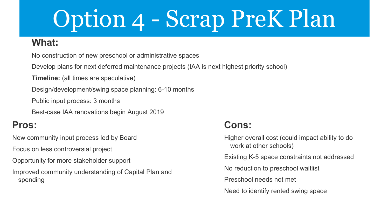# Option 4 - Scrap PreK Plan

#### **What:**

No construction of new preschool or administrative spaces

Develop plans for next deferred maintenance projects (IAA is next highest priority school)

**Timeline:** (all times are speculative)

Design/development/swing space planning: 6-10 months

Public input process: 3 months

Best-case IAA renovations begin August 2019

### **Pros:**

New community input process led by Board

Focus on less controversial project

Opportunity for more stakeholder support

Improved community understanding of Capital Plan and spending

### **Cons:**

Higher overall cost (could impact ability to do work at other schools) Existing K-5 space constraints not addressed No reduction to preschool waitlist Preschool needs not met Need to identify rented swing space